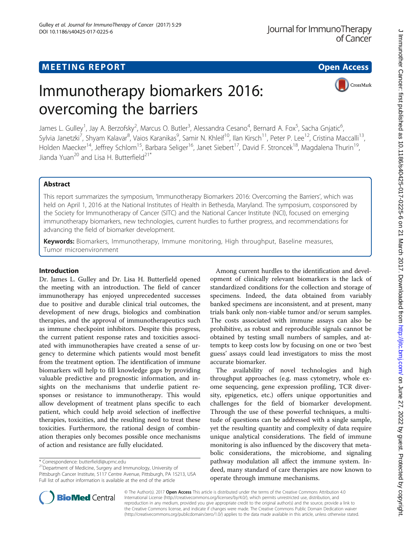# **MEETING REPORT CONSUMING A REPORT** And the set of the set of the set of the set of the set of the set of the set of the set of the set of the set of the set of the set of the set of the set of the set of the set of the se

CrossMark

# Immunotherapy biomarkers 2016: overcoming the barriers

James L. Gulley<sup>1</sup>, Jay A. Berzofsky<sup>2</sup>, Marcus O. Butler<sup>3</sup>, Alessandra Cesano<sup>4</sup>, Bernard A. Fox<sup>5</sup>, Sacha Gnjatic<sup>6</sup> , Sylvia Janetzki<sup>7</sup>, Shyam Kalavar<sup>8</sup>, Vaios Karanikas<sup>9</sup>, Samir N. Khleif<sup>10</sup>, Ilan Kirsch<sup>11</sup>, Peter P. Lee<sup>12</sup>, Cristina Maccalli<sup>13</sup>, Holden Maecker<sup>14</sup>, Jeffrey Schlom<sup>15</sup>, Barbara Seliger<sup>16</sup>, Janet Siebert<sup>17</sup>, David F. Stroncek<sup>18</sup>, Magdalena Thurin<sup>19</sup>, Jianda Yuan<sup>20</sup> and Lisa H. Butterfield<sup>21\*</sup>

## Abstract

This report summarizes the symposium, 'Immunotherapy Biomarkers 2016: Overcoming the Barriers', which was held on April 1, 2016 at the National Institutes of Health in Bethesda, Maryland. The symposium, cosponsored by the Society for Immunotherapy of Cancer (SITC) and the National Cancer Institute (NCI), focused on emerging immunotherapy biomarkers, new technologies, current hurdles to further progress, and recommendations for advancing the field of biomarker development.

Keywords: Biomarkers, Immunotherapy, Immune monitoring, High throughput, Baseline measures, Tumor microenvironment

## Introduction

Dr. James L. Gulley and Dr. Lisa H. Butterfield opened the meeting with an introduction. The field of cancer immunotherapy has enjoyed unprecedented successes due to positive and durable clinical trial outcomes, the development of new drugs, biologics and combination therapies, and the approval of immunotherapeutics such as immune checkpoint inhibitors. Despite this progress, the current patient response rates and toxicities associated with immunotherapies have created a sense of urgency to determine which patients would most benefit from the treatment option. The identification of immune biomarkers will help to fill knowledge gaps by providing valuable predictive and prognostic information, and insights on the mechanisms that underlie patient responses or resistance to immunotherapy. This would allow development of treatment plans specific to each patient, which could help avoid selection of ineffective therapies, toxicities, and the resulting need to treat these toxicities. Furthermore, the rational design of combination therapies only becomes possible once mechanisms of action and resistance are fully elucidated.

\* Correspondence: [butterfieldl@upmc.edu](mailto:butterfieldl@upmc.edu) 21Department of Medicine, Surgery and Immunology, University of Pittsburgh Cancer Institute, 5117 Centre Avenue, Pittsburgh, PA 15213, USA Full list of author information is available at the end of the article

Among current hurdles to the identification and development of clinically relevant biomarkers is the lack of standardized conditions for the collection and storage of specimens. Indeed, the data obtained from variably banked specimens are inconsistent, and at present, many trials bank only non-viable tumor and/or serum samples. The costs associated with immune assays can also be prohibitive, as robust and reproducible signals cannot be obtained by testing small numbers of samples, and attempts to keep costs low by focusing on one or two 'best guess' assays could lead investigators to miss the most accurate biomarker.

The availability of novel technologies and high throughput approaches (e.g. mass cytometry, whole exome sequencing, gene expression profiling, TCR diversity, epigenetics, etc.) offers unique opportunities and challenges for the field of biomarker development. Through the use of these powerful techniques, a multitude of questions can be addressed with a single sample, yet the resulting quantity and complexity of data require unique analytical considerations. The field of immune monitoring is also influenced by the discovery that metabolic considerations, the microbiome, and signaling pathway modulation all affect the immune system. Indeed, many standard of care therapies are now known to operate through immune mechanisms.



© The Author(s). 2017 **Open Access** This article is distributed under the terms of the Creative Commons Attribution 4.0 International License [\(http://creativecommons.org/licenses/by/4.0/](http://creativecommons.org/licenses/by/4.0/)), which permits unrestricted use, distribution, and reproduction in any medium, provided you give appropriate credit to the original author(s) and the source, provide a link to the Creative Commons license, and indicate if changes were made. The Creative Commons Public Domain Dedication waiver [\(http://creativecommons.org/publicdomain/zero/1.0/](http://creativecommons.org/publicdomain/zero/1.0/)) applies to the data made available in this article, unless otherwise stated.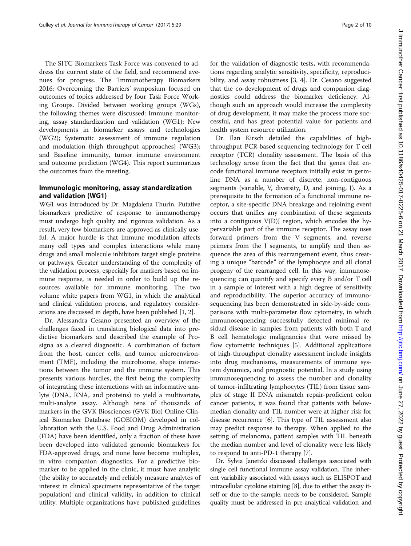The SITC Biomarkers Task Force was convened to address the current state of the field, and recommend avenues for progress. The 'Immunotherapy Biomarkers 2016: Overcoming the Barriers' symposium focused on outcomes of topics addressed by four Task Force Working Groups. Divided between working groups (WGs), the following themes were discussed: Immune monitoring, assay standardization and validation (WG1); New developments in biomarker assays and technologies (WG2); Systematic assessment of immune regulation and modulation (high throughput approaches) (WG3); and Baseline immunity, tumor immune environment and outcome prediction (WG4). This report summarizes the outcomes from the meeting.

## Immunologic monitoring, assay standardization and validation (WG1)

WG1 was introduced by Dr. Magdalena Thurin. Putative biomarkers predictive of response to immunotherapy must undergo high quality and rigorous validation. As a result, very few biomarkers are approved as clinically useful. A major hurdle is that immune modulation affects many cell types and complex interactions while many drugs and small molecule inhibitors target single proteins or pathways. Greater understanding of the complexity of the validation process, especially for markers based on immune response, is needed in order to build up the resources available for immune monitoring. The two volume white papers from WG1, in which the analytical and clinical validation process, and regulatory considerations are discussed in depth, have been published [\[1](#page-8-0), [2\]](#page-8-0).

Dr. Alessandra Cesano presented an overview of the challenges faced in translating biological data into predictive biomarkers and described the example of Prosigna as a cleared diagnostic. A combination of factors from the host, cancer cells, and tumor microenvironment (TME), including the microbiome, shape interactions between the tumor and the immune system. This presents various hurdles, the first being the complexity of integrating these interactions with an informative analyte (DNA, RNA, and proteins) to yield a multivariate, multi-analyte assay. Although tens of thousands of markers in the GVK Biosciences (GVK Bio) Online Clinical Biomarker Database (GOBIOM) developed in collaboration with the U.S. Food and Drug Administration (FDA) have been identified, only a fraction of these have been developed into validated genomic biomarkers for FDA-approved drugs, and none have become multiplex, in vitro companion diagnostics. For a predictive biomarker to be applied in the clinic, it must have analytic (the ability to accurately and reliably measure analytes of interest in clinical specimens representative of the target population) and clinical validity, in addition to clinical utility. Multiple organizations have published guidelines

for the validation of diagnostic tests, with recommendations regarding analytic sensitivity, specificity, reproducibility, and assay robustness [\[3](#page-8-0), [4](#page-8-0)]. Dr. Cesano suggested that the co-development of drugs and companion diagnostics could address the biomarker deficiency. Although such an approach would increase the complexity of drug development, it may make the process more successful, and has great potential value for patients and health system resource utilization.

Dr. Ilan Kirsch detailed the capabilities of highthroughput PCR-based sequencing technology for T cell receptor (TCR) clonality assessment. The basis of this technology arose from the fact that the genes that encode functional immune receptors initially exist in germline DNA as a number of discrete, non-contiguous segments (variable, V, diversity, D, and joining, J). As a prerequisite to the formation of a functional immune receptor, a site-specific DNA breakage and rejoining event occurs that unifies any combination of these segments into a contiguous  $V(D)$  region, which encodes the hypervariable part of the immune receptor. The assay uses forward primers from the V segments, and reverse primers from the J segments, to amplify and then sequence the area of this rearrangement event, thus creating a unique "barcode" of the lymphocyte and all clonal progeny of the rearranged cell. In this way, immunosequencing can quantify and specify every B and/or T cell in a sample of interest with a high degree of sensitivity and reproducibility. The superior accuracy of immunosequencing has been demonstrated in side-by-side comparisons with multi-parameter flow cytometry, in which immunosequencing successfully detected minimal residual disease in samples from patients with both T and B cell hematologic malignancies that were missed by flow cytometric techniques [[5\]](#page-8-0). Additional applications of high-throughput clonality assessment include insights into drug mechanisms, measurements of immune system dynamics, and prognostic potential. In a study using immunosequencing to assess the number and clonality of tumor-infiltrating lymphocytes (TIL) from tissue samples of stage II DNA mismatch repair-proficient colon cancer patients, it was found that patients with belowmedian clonality and TIL number were at higher risk for disease recurrence [\[6](#page-8-0)]. This type of TIL assessment also may predict response to therapy. When applied to the setting of melanoma, patient samples with TIL beneath the median number and level of clonality were less likely to respond to anti-PD-1 therapy [[7\]](#page-8-0).

Dr. Sylvia Janetzki discussed challenges associated with single cell functional immune assay validation. The inherent variability associated with assays such as ELISPOT and intracellular cytokine staining [\[8\]](#page-8-0), due to either the assay itself or due to the sample, needs to be considered. Sample quality must be addressed in pre-analytical validation and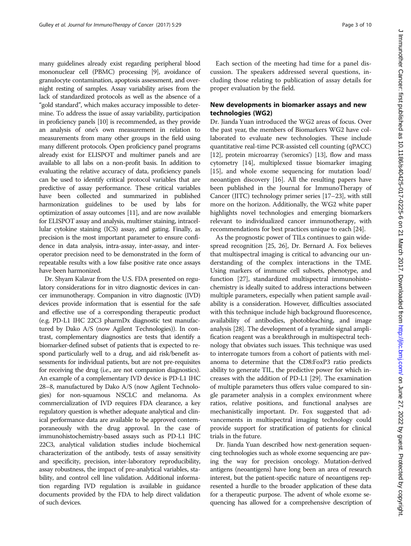many guidelines already exist regarding peripheral blood mononuclear cell (PBMC) processing [\[9](#page-8-0)], avoidance of granulocyte contamination, apoptosis assessment, and overnight resting of samples. Assay variability arises from the lack of standardized protocols as well as the absence of a "gold standard", which makes accuracy impossible to determine. To address the issue of assay variability, participation in proficiency panels [\[10\]](#page-8-0) is recommended, as they provide an analysis of one's own measurement in relation to measurements from many other groups in the field using many different protocols. Open proficiency panel programs already exist for ELISPOT and multimer panels and are available to all labs on a non-profit basis. In addition to evaluating the relative accuracy of data, proficiency panels can be used to identify critical protocol variables that are predictive of assay performance. These critical variables have been collected and summarized in published harmonization guidelines to be used by labs for optimization of assay outcomes [\[11\]](#page-8-0), and are now available for ELISPOT assay and analysis, multimer staining, intracellular cytokine staining (ICS) assay, and gating. Finally, as precision is the most important parameter to ensure confidence in data analysis, intra-assay, inter-assay, and interoperator precision need to be demonstrated in the form of repeatable results with a low false positive rate once assays have been harmonized.

Dr. Shyam Kalavar from the U.S. FDA presented on regulatory considerations for in vitro diagnostic devices in cancer immunotherapy. Companion in vitro diagnostic (IVD) devices provide information that is essential for the safe and effective use of a corresponding therapeutic product (e.g. PD-L1 IHC 22C3 pharmDx diagnostic test manufactured by Dako A/S (now Agilent Technologies)). In contrast, complementary diagnostics are tests that identify a biomarker-defined subset of patients that is expected to respond particularly well to a drug, and aid risk/benefit assessments for individual patients, but are not pre-requisites for receiving the drug (i.e., are not companion diagnostics). An example of a complementary IVD device is PD-L1 IHC 28–8, manufactured by Dako A/S (now Agilent Technologies) for non-squamous NSCLC and melanoma. As commercialization of IVD requires FDA clearance, a key regulatory question is whether adequate analytical and clinical performance data are available to be approved contemporaneously with the drug approval. In the case of immunohistochemistry-based assays such as PD-L1 IHC 22C3, analytical validation studies include biochemical characterization of the antibody, tests of assay sensitivity and specificity, precision, inter-laboratory reproducibility, assay robustness, the impact of pre-analytical variables, stability, and control cell line validation. Additional information regarding IVD regulation is available in guidance documents provided by the FDA to help direct validation of such devices.

Each section of the meeting had time for a panel discussion. The speakers addressed several questions, including those relating to publication of assay details for proper evaluation by the field.

## New developments in biomarker assays and new technologies (WG2)

Dr. Jianda Yuan introduced the WG2 areas of focus. Over the past year, the members of Biomarkers WG2 have collaborated to evaluate new technologies. These include quantitative real-time PCR-assisted cell counting (qPACC) [[12](#page-8-0)], protein microarray ('seromics') [\[13](#page-8-0)], flow and mass cytometry [\[14](#page-8-0)], multiplexed tissue biomarker imaging [[15](#page-8-0)], and whole exome sequencing for mutation load/ neoantigen discovery [\[16\]](#page-8-0). All the resulting papers have been published in the Journal for ImmunoTherapy of Cancer (JITC) technology primer series [\[17](#page-8-0)–[23](#page-8-0)], with still more on the horizon. Additionally, the WG2 white paper highlights novel technologies and emerging biomarkers relevant to individualized cancer immunotherapy, with recommendations for best practices unique to each [\[24\]](#page-8-0).

As the prognostic power of TILs continues to gain widespread recognition [[25](#page-8-0), [26](#page-8-0)], Dr. Bernard A. Fox believes that multispectral imaging is critical to advancing our understanding of the complex interactions in the TME. Using markers of immune cell subsets, phenotype, and function [[27\]](#page-8-0), standardized multispectral immunohistochemistry is ideally suited to address interactions between multiple parameters, especially when patient sample availability is a consideration. However, difficulties associated with this technique include high background fluorescence, availability of antibodies, photobleaching, and image analysis [\[28\]](#page-8-0). The development of a tyramide signal amplification reagent was a breakthrough in multispectral technology that obviates such issues. This technique was used to interrogate tumors from a cohort of patients with melanoma to determine that the CD8:FoxP3 ratio predicts ability to generate TIL, the predictive power for which increases with the addition of PD-L1 [\[29\]](#page-8-0). The examination of multiple parameters thus offers value compared to single parameter analysis in a complex environment where ratios, relative positions, and functional analyses are mechanistically important. Dr. Fox suggested that advancements in multispectral imaging technology could provide support for stratification of patients for clinical trials in the future.

Dr. Jianda Yuan described how next-generation sequencing technologies such as whole exome sequencing are paving the way for precision oncology. Mutation-derived antigens (neoantigens) have long been an area of research interest, but the patient-specific nature of neoantigens represented a hurdle to the broader application of these data for a therapeutic purpose. The advent of whole exome sequencing has allowed for a comprehensive description of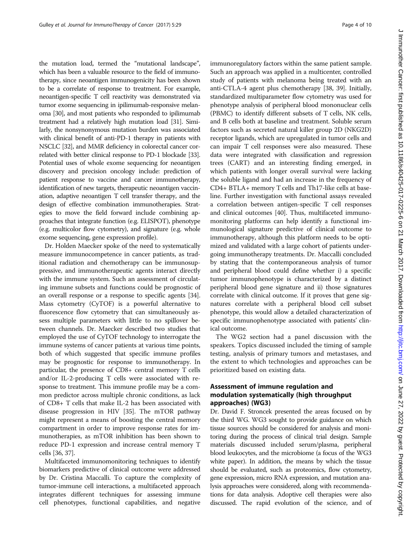the mutation load, termed the "mutational landscape", which has been a valuable resource to the field of immunotherapy, since neoantigen immunogenicity has been shown to be a correlate of response to treatment. For example, neoantigen-specific T cell reactivity was demonstrated via tumor exome sequencing in ipilimumab-responsive melanoma [[30](#page-8-0)], and most patients who responded to ipilimumab treatment had a relatively high mutation load [[31](#page-8-0)]. Similarly, the nonsynonymous mutation burden was associated with clinical benefit of anti-PD-1 therapy in patients with NSCLC [\[32](#page-8-0)], and MMR deficiency in colorectal cancer correlated with better clinical response to PD-1 blockade [\[33](#page-8-0)]. Potential uses of whole exome sequencing for neoantigen discovery and precision oncology include: prediction of patient response to vaccine and cancer immunotherapy, identification of new targets, therapeutic neoantigen vaccination, adaptive neoantigen T cell transfer therapy, and the design of effective combination immunotherapies. Strategies to move the field forward include combining approaches that integrate function (e.g. ELISPOT), phenotype (e.g. multicolor flow cytometry), and signature (e.g. whole exome sequencing, gene expression profile).

Dr. Holden Maecker spoke of the need to systematically measure immunocompetence in cancer patients, as traditional radiation and chemotherapy can be immunosuppressive, and immunotherapeutic agents interact directly with the immune system. Such an assessment of circulating immune subsets and functions could be prognostic of an overall response or a response to specific agents [[34](#page-8-0)]. Mass cytometry (CyTOF) is a powerful alternative to fluorescence flow cytometry that can simultaneously assess multiple parameters with little to no spillover between channels. Dr. Maecker described two studies that employed the use of CyTOF technology to interrogate the immune systems of cancer patients at various time points, both of which suggested that specific immune profiles may be prognostic for response to immunotherapy. In particular, the presence of CD8+ central memory T cells and/or IL-2-producing T cells were associated with response to treatment. This immune profile may be a common predictor across multiple chronic conditions, as lack of CD8+ T cells that make IL-2 has been associated with disease progression in HIV [[35](#page-8-0)]. The mTOR pathway might represent a means of boosting the central memory compartment in order to improve response rates for immunotherapies, as mTOR inhibition has been shown to reduce PD-1 expression and increase central memory T cells [[36](#page-8-0), [37\]](#page-8-0).

Multifaceted immunomonitoring techniques to identify biomarkers predictive of clinical outcome were addressed by Dr. Cristina Maccalli. To capture the complexity of tumor-immune cell interactions, a multifaceted approach integrates different techniques for assessing immune cell phenotypes, functional capabilities, and negative J Immunother Cancer: first published as 10.1186/s40425-017-0225-6 on 21 March 2017. Downloaded from http://jjtc.bmj.com/ on June 27, 2022 by guest. Protected by copyright J mmunother Cancer: first published as 10.1186/s40425-017-0225-6 on 21 March 2017. Downloaded from June 21, 2022 by guest. Protected by copyright.

immunoregulatory factors within the same patient sample. Such an approach was applied in a multicenter, controlled study of patients with melanoma being treated with an anti-CTLA-4 agent plus chemotherapy [[38](#page-8-0), [39](#page-8-0)]. Initially, standardized multiparameter flow cytometry was used for phenotype analysis of peripheral blood mononuclear cells (PBMC) to identify different subsets of T cells, NK cells, and B cells both at baseline and treatment. Soluble serum factors such as secreted natural killer group 2D (NKG2D) receptor ligands, which are upregulated in tumor cells and can impair T cell responses were also measured. These data were integrated with classification and regression trees (CART) and an interesting finding emerged, in which patients with longer overall survival were lacking the soluble ligand and had an increase in the frequency of CD4+ BTLA+ memory T cells and Th17-like cells at baseline. Further investigation with functional assays revealed a correlation between antigen-specific T cell responses and clinical outcomes [[40](#page-8-0)]. Thus, multifaceted immunomonitoring platforms can help identify a functional immunological signature predictive of clinical outcome to immunotherapy, although this platform needs to be optimized and validated with a large cohort of patients undergoing immunotherapy treatments. Dr. Maccalli concluded by stating that the contemporaneous analysis of tumor and peripheral blood could define whether i) a specific tumor immunophenotype is characterized by a distinct peripheral blood gene signature and ii) those signatures correlate with clinical outcome. If it proves that gene signatures correlate with a peripheral blood cell subset phenotype, this would allow a detailed characterization of specific immunophenotype associated with patients' clinical outcome.

The WG2 section had a panel discussion with the speakers. Topics discussed included the timing of sample testing, analysis of primary tumors and metastases, and the extent to which technologies and approaches can be prioritized based on existing data.

## Assessment of immune regulation and modulation systematically (high throughput approaches) (WG3)

Dr. David F. Stroncek presented the areas focused on by the third WG. WG3 sought to provide guidance on which tissue sources should be considered for analysis and monitoring during the process of clinical trial design. Sample materials discussed included serum/plasma, peripheral blood leukocytes, and the microbiome (a focus of the WG3 white paper). In addition, the means by which the tissue should be evaluated, such as proteomics, flow cytometry, gene expression, micro RNA expression, and mutation analysis approaches were considered, along with recommendations for data analysis. Adoptive cell therapies were also discussed. The rapid evolution of the science, and of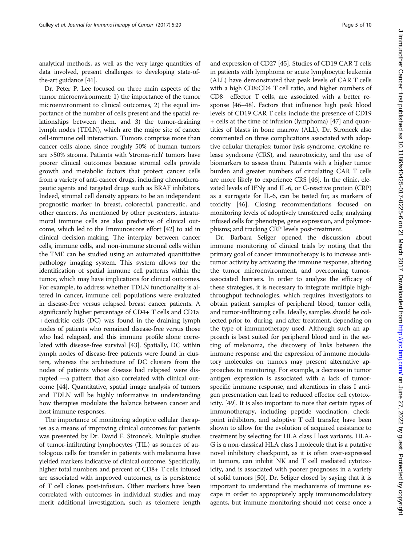analytical methods, as well as the very large quantities of data involved, present challenges to developing state-ofthe-art guidance [\[41\]](#page-8-0).

Dr. Peter P. Lee focused on three main aspects of the tumor microenvironment: 1) the importance of the tumor microenvironment to clinical outcomes, 2) the equal importance of the number of cells present and the spatial relationships between them, and 3) the tumor-draining lymph nodes (TDLN), which are the major site of cancer cell-immune cell interaction. Tumors comprise more than cancer cells alone, since roughly 50% of human tumors are >50% stroma. Patients with 'stroma-rich' tumors have poorer clinical outcomes because stromal cells provide growth and metabolic factors that protect cancer cells from a variety of anti-cancer drugs, including chemotherapeutic agents and targeted drugs such as BRAF inhibitors. Indeed, stromal cell density appears to be an independent prognostic marker in breast, colorectal, pancreatic, and other cancers. As mentioned by other presenters, intratumoral immune cells are also predictive of clinical outcome, which led to the Immunoscore effort [\[42\]](#page-8-0) to aid in clinical decision-making. The interplay between cancer cells, immune cells, and non-immune stromal cells within the TME can be studied using an automated quantitative pathology imaging system. This system allows for the identification of spatial immune cell patterns within the tumor, which may have implications for clinical outcomes. For example, to address whether TDLN functionality is altered in cancer, immune cell populations were evaluated in disease-free versus relapsed breast cancer patients. A significantly higher percentage of CD4+ T cells and CD1a + dendritic cells (DC) was found in the draining lymph nodes of patients who remained disease-free versus those who had relapsed, and this immune profile alone correlated with disease-free survival [\[43](#page-8-0)]. Spatially, DC within lymph nodes of disease-free patients were found in clusters, whereas the architecture of DC clusters from the nodes of patients whose disease had relapsed were disrupted —a pattern that also correlated with clinical outcome [\[44\]](#page-8-0). Quantitative, spatial image analysis of tumors and TDLN will be highly informative in understanding how therapies modulate the balance between cancer and host immune responses.

The importance of monitoring adoptive cellular therapies as a means of improving clinical outcomes for patients was presented by Dr. David F. Stroncek. Multiple studies of tumor-infiltrating lymphocytes (TIL) as sources of autologous cells for transfer in patients with melanoma have yielded markers indicative of clinical outcome. Specifically, higher total numbers and percent of CD8+ T cells infused are associated with improved outcomes, as is persistence of T cell clones post-infusion. Other markers have been correlated with outcomes in individual studies and may merit additional investigation, such as telomere length and expression of CD27 [\[45\]](#page-9-0). Studies of CD19 CAR T cells in patients with lymphoma or acute lymphocytic leukemia (ALL) have demonstrated that peak levels of CAR T cells with a high CD8:CD4 T cell ratio, and higher numbers of CD8+ effector T cells, are associated with a better response [[46](#page-9-0)–[48\]](#page-9-0). Factors that influence high peak blood levels of CD19 CAR T cells include the presence of CD19 + cells at the time of infusion (lymphoma) [[47](#page-9-0)] and quantities of blasts in bone marrow (ALL). Dr. Stroncek also commented on three complications associated with adoptive cellular therapies: tumor lysis syndrome, cytokine release syndrome (CRS), and neurotoxicity, and the use of biomarkers to assess them. Patients with a higher tumor burden and greater numbers of circulating CAR T cells are more likely to experience CRS [[46](#page-9-0)]. In the clinic, elevated levels of IFNγ and IL-6, or C-reactive protein (CRP) as a surrogate for IL-6, can be tested for, as markers of toxicity [[46\]](#page-9-0). Closing recommendations focused on monitoring levels of adoptively transferred cells; analyzing infused cells for phenotype, gene expression, and polymorphisms; and tracking CRP levels post-treatment.

Dr. Barbara Seliger opened the discussion about immune monitoring of clinical trials by noting that the primary goal of cancer immunotherapy is to increase antitumor activity by activating the immune response, altering the tumor microenvironment, and overcoming tumorassociated barriers. In order to analyze the efficacy of these strategies, it is necessary to integrate multiple highthroughput technologies, which requires investigators to obtain patient samples of peripheral blood, tumor cells, and tumor-infiltrating cells. Ideally, samples should be collected prior to, during, and after treatment, depending on the type of immunotherapy used. Although such an approach is best suited for peripheral blood and in the setting of melanoma, the discovery of links between the immune response and the expression of immune modulatory molecules on tumors may present alternative approaches to monitoring. For example, a decrease in tumor antigen expression is associated with a lack of tumorspecific immune response, and alterations in class I antigen presentation can lead to reduced effector cell cytotoxicity. [\[49](#page-9-0)]. It is also important to note that certain types of immunotherapy, including peptide vaccination, checkpoint inhibitors, and adoptive T cell transfer, have been shown to allow for the evolution of acquired resistance to treatment by selecting for HLA class I loss variants. HLA-G is a non-classical HLA class I molecule that is a putative novel inhibitory checkpoint, as it is often over-expressed in tumors, can inhibit NK and T cell mediated cytotoxicity, and is associated with poorer prognoses in a variety of solid tumors [[50](#page-9-0)]. Dr. Seliger closed by saying that it is important to understand the mechanisms of immune escape in order to appropriately apply immunomodulatory agents, but immune monitoring should not cease once a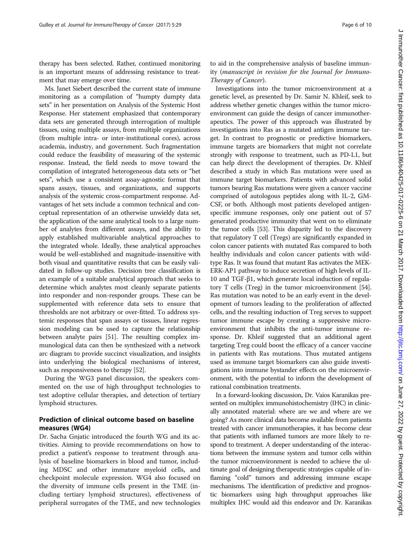therapy has been selected. Rather, continued monitoring is an important means of addressing resistance to treatment that may emerge over time.

Ms. Janet Siebert described the current state of immune monitoring as a compilation of "humpty dumpty data sets" in her presentation on Analysis of the Systemic Host Response. Her statement emphasized that contemporary data sets are generated through interrogation of multiple tissues, using multiple assays, from multiple organizations (from multiple intra- or inter-institutional cores), across academia, industry, and government. Such fragmentation could reduce the feasibility of measuring of the systemic response. Instead, the field needs to move toward the compilation of integrated heterogeneous data sets or "het sets", which use a consistent assay-agnostic format that spans assays, tissues, and organizations, and supports analysis of the systemic cross-compartment response. Advantages of het sets include a common technical and conceptual representation of an otherwise unwieldy data set, the application of the same analytical tools to a large number of analytes from different assays, and the ability to apply established multivariable analytical approaches to the integrated whole. Ideally, these analytical approaches would be well-established and magnitude-insensitive with both visual and quantitative results that can be easily validated in follow-up studies. Decision tree classification is an example of a suitable analytical approach that seeks to determine which analytes most cleanly separate patients into responder and non-responder groups. These can be supplemented with reference data sets to ensure that thresholds are not arbitrary or over-fitted. To address systemic responses that span assays or tissues, linear regression modeling can be used to capture the relationship between analyte pairs [\[51\]](#page-9-0). The resulting complex immunological data can then be synthesized with a network arc diagram to provide succinct visualization, and insights into underlying the biological mechanisms of interest, such as responsiveness to therapy [[52](#page-9-0)].

During the WG3 panel discussion, the speakers commented on the use of high throughput technologies to test adoptive cellular therapies, and detection of tertiary lymphoid structures.

## Prediction of clinical outcome based on baseline measures (WG4)

Dr. Sacha Gnjatic introduced the fourth WG and its activities. Aiming to provide recommendations on how to predict a patient's response to treatment through analysis of baseline biomarkers in blood and tumor, including MDSC and other immature myeloid cells, and checkpoint molecule expression. WG4 also focused on the diversity of immune cells present in the TME (including tertiary lymphoid structures), effectiveness of peripheral surrogates of the TME, and new technologies

to aid in the comprehensive analysis of baseline immunity (manuscript in revision for the Journal for Immuno-Therapy of Cancer).

Investigations into the tumor microenvironment at a genetic level, as presented by Dr. Samir N. Khleif, seek to address whether genetic changes within the tumor microenvironment can guide the design of cancer immunotherapeutics. The power of this approach was illustrated by investigations into Ras as a mutated antigen immune target. In contrast to prognostic or predictive biomarkers, immune targets are biomarkers that might not correlate strongly with response to treatment, such as PD-L1, but can help direct the development of therapies. Dr. Khleif described a study in which Ras mutations were used as immune target biomarkers. Patients with advanced solid tumors bearing Ras mutations were given a cancer vaccine comprised of autologous peptides along with IL-2, GM-CSF, or both. Although most patients developed antigenspecific immune responses, only one patient out of 57 generated productive immunity that went on to eliminate the tumor cells [[53](#page-9-0)]. This disparity led to the discovery that regulatory T cell (Tregs) are significantly expanded in colon cancer patients with mutated Ras compared to both healthy individuals and colon cancer patients with wildtype Ras. It was found that mutant Ras activates the MEK-ERK-AP1 pathway to induce secretion of high levels of IL-10 and TGF-β1, which generate local induction of regulatory T cells (Treg) in the tumor microenvironment [[54](#page-9-0)]. Ras mutation was noted to be an early event in the development of tumors leading to the proliferation of affected cells, and the resulting induction of Treg serves to support tumor immune escape by creating a suppressive microenvironment that inhibits the anti-tumor immune response. Dr. Khleif suggested that an additional agent targeting Treg could boost the efficacy of a cancer vaccine in patients with Ras mutations. Thus mutated antigens used as immune target biomarkers can also guide investigations into immune bystander effects on the microenvironment, with the potential to inform the development of rational combination treatments.

In a forward-looking discussion, Dr. Vaios Karanikas presented on multiplex immunohistochemistry (IHC) in clinically annotated material: where are we and where are we going? As more clinical data become available from patients treated with cancer immunotherapies, it has become clear that patients with inflamed tumors are more likely to respond to treatment. A deeper understanding of the interactions between the immune system and tumor cells within the tumor microenvironment is needed to achieve the ultimate goal of designing therapeutic strategies capable of inflaming "cold" tumors and addressing immune escape mechanisms. The identification of predictive and prognostic biomarkers using high throughput approaches like multiplex IHC would aid this endeavor and Dr. Karanikas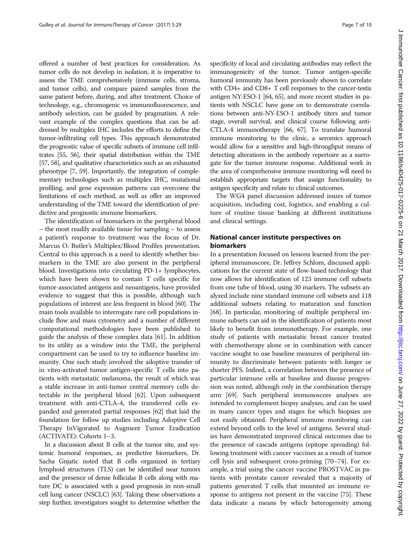offered a number of best practices for consideration. As tumor cells do not develop in isolation, it is imperative to assess the TME comprehensively (immune cells, stroma, and tumor cells), and compare paired samples from the same patient before, during, and after treatment. Choice of technology, e.g., chromogenic vs immunofluorescence, and antibody selection, can be guided by pragmatism. A relevant example of the complex questions that can be addressed by multiplex IHC includes the efforts to define the tumor-infiltrating cell types. This approach demonstrated the prognostic value of specific subsets of immune cell infiltrates [\[55](#page-9-0), [56\]](#page-9-0), their spatial distribution within the TME [[57](#page-9-0), [58](#page-9-0)], and qualitative characteristics such as an exhausted phenotype [\[7,](#page-8-0) [59](#page-9-0)]. Importantly, the integration of complementary technologies such as multiplex IHC, mutational profiling, and gene expression patterns can overcome the limitations of each method, as well as offer an improved understanding of the TME toward the identification of predictive and prognostic immune biomarkers.

The identification of biomarkers in the peripheral blood – the most readily available tissue for sampling – to assess a patient's response to treatment was the focus of Dr. Marcus O. Butler's Multiplex/Blood Profiles presentation. Central to this approach is a need to identify whether biomarkers in the TME are also present in the peripheral blood. Investigations into circulating PD-1+ lymphocytes, which have been shown to contain T cells specific for tumor-associated antigens and neoantigens, have provided evidence to suggest that this is possible, although such populations of interest are less frequent in blood [\[60\]](#page-9-0). The main tools available to interrogate rare cell populations include flow and mass cytometry and a number of different computational methodologies have been published to guide the analysis of these complex data [[61](#page-9-0)]. In addition to its utility as a window into the TME, the peripheral compartment can be used to try to influence baseline immunity. One such study involved the adoptive transfer of in vitro-activated tumor antigen-specific T cells into patients with metastatic melanoma, the result of which was a stable increase in anti-tumor central memory cells detectable in the peripheral blood [\[62](#page-9-0)]. Upon subsequent treatment with anti-CTLA-4, the transferred cells expanded and generated partial responses [[62](#page-9-0)] that laid the foundation for follow up studies including Adoptive Cell Therapy InVigorated to Augment Tumor Eradication (ACTIVATE): Cohorts 1–3.

In a discussion about B cells at the tumor site, and systemic humoral responses, as predictive biomarkers, Dr. Sacha Gnjatic noted that B cells organized in tertiary lymphoid structures (TLS) can be identified near tumors and the presence of dense follicular B cells along with mature DC is associated with a good prognosis in non-small cell lung cancer (NSCLC) [\[63\]](#page-9-0). Taking these observations a step further, investigators sought to determine whether the specificity of local and circulating antibodies may reflect the immunogenicity of the tumor. Tumor antigen-specific humoral immunity has been previously shown to correlate with CD4+ and CD8+ T cell responses to the cancer-testis antigen NY-ESO-1 [\[64, 65](#page-9-0)], and more recent studies in patients with NSCLC have gone on to demonstrate correlations between anti-NY-ESO-1 antibody titers and tumor stage, overall survival, and clinical course following anti-CTLA-4 immunotherapy [\[66, 67](#page-9-0)]. To translate humoral immune monitoring to the clinic, a seromics approach would allow for a sensitive and high-throughput means of detecting alterations in the antibody repertoire as a surrogate for the tumor immune response. Additional work in the area of comprehensive immune monitoring will need to establish appropriate targets that assign functionality to antigen specificity and relate to clinical outcomes.

The WG4 panel discussion addressed issues of tumor acquisition, including cost, logistics, and enabling a culture of routine tissue banking at different institutions and clinical settings.

## National cancer institute perspectives on biomarkers

In a presentation focused on lessons learned from the peripheral immunoscore, Dr. Jeffrey Schlom, discussed applications for the current state of flow-based technology that now allows for identification of 123 immune cell subsets from one tube of blood, using 30 markers. The subsets analyzed include nine standard immune cell subsets and 118 additional subsets relating to maturation and function [[68](#page-9-0)]. In particular, monitoring of multiple peripheral immune subsets can aid in the identification of patients most likely to benefit from immunotherapy. For example, one study of patients with metastatic breast cancer treated with chemotherapy alone or in combination with cancer vaccine sought to use baseline measures of peripheral immunity to discriminate between patients with longer or shorter PFS. Indeed, a correlation between the presence of particular immune cells at baseline and disease progression was noted, although only in the combination therapy arm [\[69](#page-9-0)]. Such peripheral immunoscore analyses are intended to complement biopsy analyses, and can be used in many cancer types and stages for which biopsies are not easily obtained. Peripheral immune monitoring can extend beyond cells to the level of antigens. Several studies have demonstrated improved clinical outcomes due to the presence of cascade antigens (epitope spreading) following treatment with cancer vaccines as a result of tumor cell lysis and subsequent cross-priming [[70](#page-9-0)–[74](#page-9-0)]. For example, a trial using the cancer vaccine PROSTVAC in patients with prostate cancer revealed that a majority of patients generated T cells that mounted an immune response to antigens not present in the vaccine [\[75](#page-9-0)]. These data indicate a means by which heterogeneity among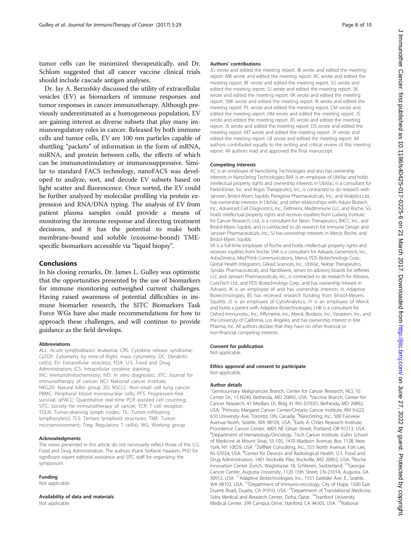tumor cells can be minimized therapeutically, and Dr. Schlom suggested that all cancer vaccine clinical trials should include cascade antigen analyses.

Dr. Jay A. Berzofsky discussed the utility of extracellular vesicles (EV) as biomarkers of immune responses and tumor responses in cancer immunotherapy. Although previously underestimated as a homogeneous population, EV are gaining interest as diverse subsets that play many immunoregulatory roles in cancer. Released by both immune cells and tumor cells, EV are 100 nm particles capable of shuttling "packets" of information in the form of mRNA, miRNA, and protein between cells, the effects of which can be immunostimulatory or immunosuppressive. Similar to standard FACS technology, nanoFACS was developed to analyze, sort, and decode EV subsets based on light scatter and fluorescence. Once sorted, the EV could be further analyzed by molecular profiling via protein expression and RNA/DNA typing. The analysis of EV from patient plasma samples could provide a means of monitoring the immune response and directing treatment decisions, and it has the potential to make both membrane-bound and soluble (exosome-bound) TMEspecific biomarkers accessible via "liquid biopsy".

### Conclusions

In his closing remarks, Dr. James L. Gulley was optimistic that the opportunities presented by the use of biomarkers for immune monitoring outweighed current challenges. Having raised awareness of potential difficulties in immune biomarker research, the SITC Biomarkers Task Force WGs have also made recommendations for how to approach these challenges, and will continue to provide guidance as the field develops.

#### Abbreviations

ALL: Acute lymphoblastic leukemia; CRS: Cytokine release syndrome; CyTOF: Cytometry by time-of-flight, mass cytometry; DC: Dendritic cell(s); EV: Extracellular vesicle(s); FDA: U.S. Food and Drug Administration; ICS: Intracellular cytokine staining; IHC: Immunohistochemistry; IVD: In vitro diagnostic; JITC: Journal for immunotherapy of cancer; NCI: National cancer institute; NKG2D: Natural killer group 2D; NSCLC: Non-small cell lung cancer; PBMC: Peripheral blood mononuclear cells; PFS: Progression-free survival; qPACC: Quantitative real-time PCR assisted cell counting; SITC: Society for immunotherapy of cancer; TCR: T cell receptor; TDLN: Tumor-draining lymph nodes; TIL: Tumor-infiltrating lymphocyte(s); TLS: Tertiary lymphoid structures; TME: Tumor microenvironment; Treg: Regulatory T cell(s); WG: Working group.

#### Acknowledgments

The views presented in this article do not necessarily reflect those of the U.S. Food and Drug Administration. The authors thank Stefanie Haasken, PhD for significant expert editorial assistance and SITC staff for organizing the symposium.

#### Funding

Not applicable.

Availability of data and materials Not applicable.

#### Authors' contributions

JG wrote and edited the meeting report. JB wrote and edited the meeting report. MB wrote and edited the meeting report. AC wrote and edited the meeting report. BF wrote and edited the meeting report. SG wrote and edited the meeting report. SJ wrote and edited the meeting report. SK wrote and edited the meeting report. VK wrote and edited the meeting report. SNK wrote and edited the meeting report. IK wrote and edited the meeting report. PL wrote and edited the meeting report. CM wrote and edited the meeting report. HM wrote and edited the meeting report. JS wrote and edited the meeting report. BS wrote and edited the meeting report. JS wrote and edited the meeting report. DS wrote and edited the meeting report. MT wrote and edited the meeting report. JY wrote and edited the meeting report. LB wrote and edited the meeting report. All authors contributed equally to the writing and critical review of this meeting report. All authors read and approved the final manuscript.

#### Competing interests

AC is an employee of NanoString Technologies and also has ownership interests in NanoString Technologies; BAF is an employee of UbiVac and holds intellectual property rights and ownership interests in UbiVac, is a consultant for PerkinElmer, Inc. and Argos Therapeutics, Inc., is contracted to do research with Janssen, Bristol-Myers Squibb, Peregrine Pharmaceuticals, Inc., and Viralytics Ltd., has ownership interests in UbiVac, and other relationships with Aduro Biotech, Inc., Advanced Cell Diagnostics, Inc., Definiens, MedImmune LLC, and Roche; SG holds intellectual property rights and receives royalties from Ludwig Institute for Cancer Research, Ltd., is a consultant for Neon Therapeutics, B4CC, Inc., and Bristol-Myers Squibb, and is contracted to do research for Immune Design and Janssen Pharmaceuticals, Inc.; SJ has ownership interests in Merck, Roche, and Bristol-Myers Squibb.

VK is a full-time employee of Roche and holds intellectual property rights and receives royalties from Roche; SNK is a consultant for Advaxis, Genentech, Inc., AstraZeneca, MedThink Communications, Merus, PDS Biotechnology Corp., Global Health Integrators, Gilead Sciences, Inc., UbiVac, Nektar Therapeutics, Syndax Pharmaceuticals, and NantKwest, serves on advisory boards for Jefferies LLC and Janssen Pharmaceuticals, Inc., is contracted to do research for Advaxis, CureTech Ltd., and PDS Biotechnology Corp., and has ownership interest in Advaxis; IK is an employee of and has ownership interests in Adaptive Biotechnologies; BS has received research funding from Bristol-Meyers Squibb; JS is an employee of CytoAnalytics; JY is an employee of Merck and holds a patent with Adaptive Biotechnologies; LHB is a consultant for Oxford Immunotec, Inc., Affymetrix, Inc., Merck, Biodesix, Inc., Verastem, Inc., and the University of California, Los Angeles, and has ownership interest in Kite Pharma, Inc. All authors declare that they have no other financial or non-financial competing interests.

#### Consent for publication

Not applicable.

#### Ethics approval and consent to participate Not applicable.

#### Author details

<sup>1</sup>Genitourinary Malignancies Branch, Center for Cancer Research, NCI, 10 Center Dr., 13 N240, Bethesda, MD 20892, USA. <sup>2</sup>Vaccine Branch, Center for Cancer Research, 41 Medlars Dr, Bldg 41 Rm D702D, Bethesda, MD 20892, USA. <sup>3</sup>Princess Margaret Cancer Center/Ontario Cancer Institute, RM 9-622 610 University Ave, Toronto, ON, Canada. <sup>4</sup>NanoString, Inc., 500 Fairview Avenue North, Seattle, WA 98109, USA. <sup>5</sup>Earle A. Chiles Research Institute Providence Cancer Center, 4805 NE Glisan Street, Portland, OR 97213, USA. 6 Department of Hematology/Oncology, Tisch Cancer Institute, Icahn School of Medicine at Mount Sinai, S5-105, 1470 Madison Avenue, Box 1128, New York, NY 10029, USA.<sup>7</sup>ZellNet Consulting, Inc., 555 North Avenue, Fort Lee, NJ 07024, USA. <sup>8</sup>Center for Devices and Radiological Health, U.S. Food and Drug Administration, 1401 Rockville Pike, Rockville, MD 20852, USA. <sup>9</sup>Roche Innovation Center Zurich, Wagistrasse 18, Schlieren, Switzerland. <sup>10</sup>Georgia Cancer Center, Augusta University, 1120 15th Street, CN-2101A, Augusta, GA 30912, USA. 11Adaptive Biotechnologies, Inc., 1551 Eastlake Ave. E., Seattle, WA 98102, USA. <sup>12</sup>Department of Immuno-oncology, City of Hope, 1500 East Duarte Road, Duarte, CA 91010, USA. <sup>13</sup>Department of Translational Medicine, Sidra Medical and Research Center, Doha, Qatar. <sup>14</sup>Stanford University Medical Center, 299 Campus Drive, Stanford, CA 94303, USA. <sup>15</sup>National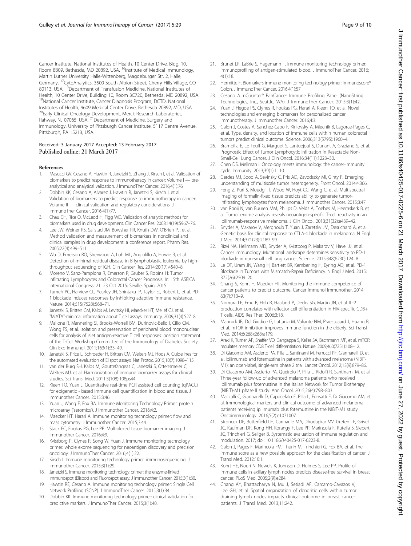<span id="page-8-0"></span>Cancer Institute, National Institutes of Health, 10 Center Drive, Bldg. 10, Room 8B09, Bethesda, MD 20892, USA. <sup>16</sup>Institute of Medical Immunology, Martin Luther University Halle-Wittenberg, Magdeburger Str. 2, Halle, Germany. 17CytoAnalytics, 3500 South Albion Street, Cherry Hills Village, CO 80113, USA. <sup>18</sup>Department of Transfusion Medicine, National Institutes of Health, 10 Center Drive, Building 10, Room 3C720, Bethesda, MD 20892, USA. <sup>19</sup>National Cancer Institute, Cancer Diagnosis Program, DCTD, National Institutes of Health, 9609 Medical Center Drive, Bethesda 20892, MD, USA. <sup>20</sup>Early Clinical Oncology Development, Merck Research Laboratories, Rahway, NJ 07065, USA.<sup>21</sup>Department of Medicine, Surgery and Immunology, University of Pittsburgh Cancer Institute, 5117 Centre Avenue, Pittsburgh, PA 15213, USA.

#### Received: 3 January 2017 Accepted: 13 February 2017 Published online: 21 March 2017

#### References

- Masucci GV, Cesano A, Hawtin R, Janetzki S, Zhang J, Kirsch I, et al. Validation of biomarkers to predict response to immunotherapy in cancer: Volume I — preanalytical and analytical validation. J ImmunoTher Cancer. 2016;4(1):76.
- 2. Dobbin KK, Cesano A, Alvarez J, Hawtin R, Janetzki S, Kirsch I, et al. Validation of biomarkers to predict response to immunotherapy in cancer: Volume II — clinical validation and regulatory considerations. J ImmunoTher Cancer. 2016;4(1):77.
- 3. Chau CH, Rixe O, McLeod H, Figg WD. Validation of analytic methods for biomarkers used in drug development. Clin Cancer Res. 2008;14(19):5967–76.
- 4. Lee JW, Weiner RS, Sailstad JM, Bowsher RR, Knuth DW, O'Brien PJ, et al. Method validation and measurement of biomarkers in nonclinical and clinical samples in drug development: a conference report. Pharm Res. 2005;22(4):499–511.
- 5. Wu D, Emerson RO, Sherwood A, Loh ML, Angiolillo A, Howie B, et al. Detection of minimal residual disease in B lymphoblastic leukemia by highthroughput sequencing of IGH. Clin Cancer Res. 2014;20(17):4540–8.
- 6. Moreno V, Sanz-Pamplona R, Emerson R, Gruber S, Robins H: Tumor Infiltrating Lymphocytes and Colorectal Cancer Prognosis. In: 15th ASEICA International Congress: 21–23 Oct 2015; Seville, Spain; 2015.
- 7. Tumeh PC, Harview CL, Yearley JH, Shintaku IP, Taylor EJ, Robert L, et al. PD-1 blockade induces responses by inhibiting adaptive immune resistance. Nature. 2014;515(7528):568–71.
- 8. Janetzki S, Britten CM, Kalos M, Levitsky HI, Maecker HT, Melief CJ, et al. "MIATA"-minimal information about T cell assays. Immunity. 2009;31(4):527–8.
- 9. Mallone R, Mannering SI, Brooks-Worrell BM, Durinovic-Bello I, Cilio CM, Wong FS, et al. Isolation and preservation of peripheral blood mononuclear cells for analysis of islet antigen-reactive T cell responses: position statement of the T-Cell Workshop Committee of the Immunology of Diabetes Society. Clin Exp Immunol. 2011;163(1):33–49.
- 10. Janetzki S, Price L, Schroeder H, Britten CM, Welters MJ, Hoos A. Guidelines for the automated evaluation of Elispot assays. Nat Protoc. 2015;10(7):1098–115.
- 11. van der Burg SH, Kalos M, Gouttefangeas C, Janetzki S, Ottensmeier C, Welters MJ, et al. Harmonization of immune biomarker assays for clinical studies. Sci Transl Med. 2011;3(108):108ps44.
- 12. Kleen TO, Yuan J. Quantitative real-time PCR assisted cell counting (qPACC) for epigenetic - based immune cell quantification in blood and tissue. J Immunother Cancer. 2015;3:46.
- 13. Yuan J, Wang E, Fox BA. Immune Monitoring Technology Primer: protein microarray ('seromics'). J Immunother Cancer. 2016;4:2.
- 14. Maecker HT, Harari A. Immune monitoring technology primer: flow and mass cytometry. J Immunother Cancer. 2015;3:44.
- 15. Stack EC, Foukas PG, Lee PP. Multiplexed tissue biomarker imaging. J Immunother Cancer. 2016;4:9.
- 16. Kvistborg P, Clynes R, Song W, Yuan J. Immune monitoring technology primer: whole exome sequencing for neoantigen discovery and precision oncology. J ImmunoTher Cancer. 2016;4(1):22.
- 17. Kirsch I. Immune monitoring technology primer: immunosequencing. J Immunother Cancer. 2015;3(1):29.
- 18. Janetzki S. Immune monitoring technology primer: the enzyme-linked immunospot (Elispot) and Fluorospot assay. J Immunother Cancer. 2015;3(1):30.
- 19. Hawtin RE, Cesano A. Immune monitoring technology primer: Single Cell Network Profiling (SCNP). J ImmunoTher Cancer. 2015;3(1):34.
- 20. Dobbin KK. Immune monitoring technology primer: clinical validation for predictive markers. J ImmunoTher Cancer. 2015;3(1):40.
- 21. Brunet LR, LaBrie S, Hagemann T. Immune monitoring technology primer: immunoprofiling of antigen-stimulated blood. J ImmunoTher Cancer. 2016; 4(1):18.
- 22. Hermitte F. Biomarkers immune monitoring technology primer: Immunoscore® Colon. J ImmunoTher Cancer. 2016;4(1):57.
- 23. Cesano A. nCounter® PanCancer Immune Profiling Panel (NanoString Technologies, Inc., Seattle, WA). J ImmunoTher Cancer. 2015;3(1):42.
- 24. Yuan J, Hegde PS, Clynes R, Foukas PG, Harari A, Kleen TO, et al. Novel technologies and emerging biomarkers for personalized cancer immunotherapy. J Immunother Cancer. 2016;4:3.
- 25. Galon J, Costes A, Sanchez-Cabo F, Kirilovsky A, Mlecnik B, Lagorce-Pages C, et al. Type, density, and location of immune cells within human colorectal tumors predict clinical outcome. Science. 2006;313(5795):1960–4.
- 26. Brambilla E, Le Teuff G, Marguet S, Lantuejoul S, Dunant A, Graziano S, et al. Prognostic Effect of Tumor Lymphocytic Infiltration in Resectable Non-Small-Cell Lung Cancer. J Clin Oncol. 2016;34(11):1223–30.
- 27. Chen DS, Mellman I. Oncology meets immunology: the cancer-immunity cycle. Immunity. 2013;39(1):1–10.
- 28. Gerdes MJ, Sood A, Sevinsky C, Pris AD, Zavodszky MI, Ginty F. Emerging understanding of multiscale tumor heterogeneity. Front Oncol. 2014;4:366.
- 29. Feng Z, Puri S, Moudgil T, Wood W, Hoyt CC, Wang C, et al. Multispectral imaging of formalin-fixed tissue predicts ability to generate tumorinfiltrating lymphocytes from melanoma. J Immunother Cancer. 2015;3:47.
- 30. van Rooij N, van Buuren MM, Philips D, Velds A, Toebes M, Heemskerk B, et al. Tumor exome analysis reveals neoantigen-specific T-cell reactivity in an ipilimumab-responsive melanoma. J Clin Oncol. 2013;31(32):e439–42.
- 31. Snyder A, Makarov V, Merghoub T, Yuan J, Zaretsky JM, Desrichard A, et al. Genetic basis for clinical response to CTLA-4 blockade in melanoma. N Engl J Med. 2014;371(23):2189–99.
- 32. Rizvi NA, Hellmann MD, Snyder A, Kvistborg P, Makarov V, Havel JJ, et al. Cancer immunology. Mutational landscape determines sensitivity to PD-1 blockade in non-small cell lung cancer. Science. 2015;348(6230):124–8.
- 33. Le DT, Uram JN, Wang H, Bartlett BR, Kemberling H, Eyring AD, et al. PD-1 Blockade in Tumors with Mismatch-Repair Deficiency. N Engl J Med. 2015; 372(26):2509–20.
- 34. Chang S, Kohrt H, Maecker HT. Monitoring the immune competence of cancer patients to predict outcome. Cancer Immunol Immunother. 2014; 63(7):713–9.
- 35. Nomura LE, Emu B, Hoh R, Haaland P, Deeks SG, Martin JN, et al. IL-2 production correlates with effector cell differentiation in HIV-specific CD8+ T cells. AIDS Res Ther. 2006;3:18.
- 36. Mannick JB, Del Giudice G, Lattanzi M, Valiante NM, Praestgaard J, Huang B, et al. mTOR inhibition improves immune function in the elderly. Sci Transl Med. 2014;6(268):268ra179.
- 37. Araki K, Turner AP, Shaffer VO, Gangappa S, Keller SA, Bachmann MF, et al. mTOR regulates memory CD8 T-cell differentiation. Nature. 2009;460(7251):108–12.
- 38. Di Giacomo AM, Ascierto PA, Pilla L, Santinami M, Ferrucci PF, Giannarelli D, et al. Ipilimumab and fotemustine in patients with advanced melanoma (NIBIT-M1): an open-label, single-arm phase 2 trial. Lancet Oncol. 2012;13(9):879–86.
- 39. Di Giacomo AM, Ascierto PA, Queirolo P, Pilla L, Ridolfi R, Santinami M, et al. Three-year follow-up of advanced melanoma patients who received ipilimumab plus fotemustine in the Italian Network for Tumor Biotherapy (NIBIT)-M1 phase II study. Ann Oncol. 2015;26(4):798–803.
- 40. Maccalli C, Giannarelli D, Capocefalo F, Pilla L, Fonsatti E, Di Giacomo AM, et al. Immunological markers and clinical outcome of advanced melanoma patients receiving ipilimumab plus fotemustine in the NIBIT-M1 study. Oncoimmunology. 2016;5(2):e1071007.
- 41. Stroncek DF, Butterfield LH, Cannarile MA, Dhodapkar MV, Greten TF, Grivel JC, Kaufman DR, Kong HH, Korangy F, Lee PP, Marincola F, Rutella S, Siebert JC, Trinchieri G, Seliger B. Systematic evaluation of immune regulation and modulation. 2017; doi: [10.1186/s40425-017-0223-8.](http://dx.doi.org/10.1186/s40425-017-0223-8)
- 42. Galon J, Pages F, Marincola FM, Thurin M, Trinchieri G, Fox BA, et al. The immune score as a new possible approach for the classification of cancer. J Transl Med. 2012;10:1.
- 43. Kohrt HE, Nouri N, Nowels K, Johnson D, Holmes S, Lee PP. Profile of immune cells in axillary lymph nodes predicts disease-free survival in breast cancer. PLoS Med. 2005;2(9):e284.
- 44. Chang AY, Bhattacharya N, Mu J, Setiadi AF, Carcamo-Cavazos V, Lee GH, et al. Spatial organization of dendritic cells within tumor draining lymph nodes impacts clinical outcome in breast cancer patients. J Transl Med. 2013;11:242.